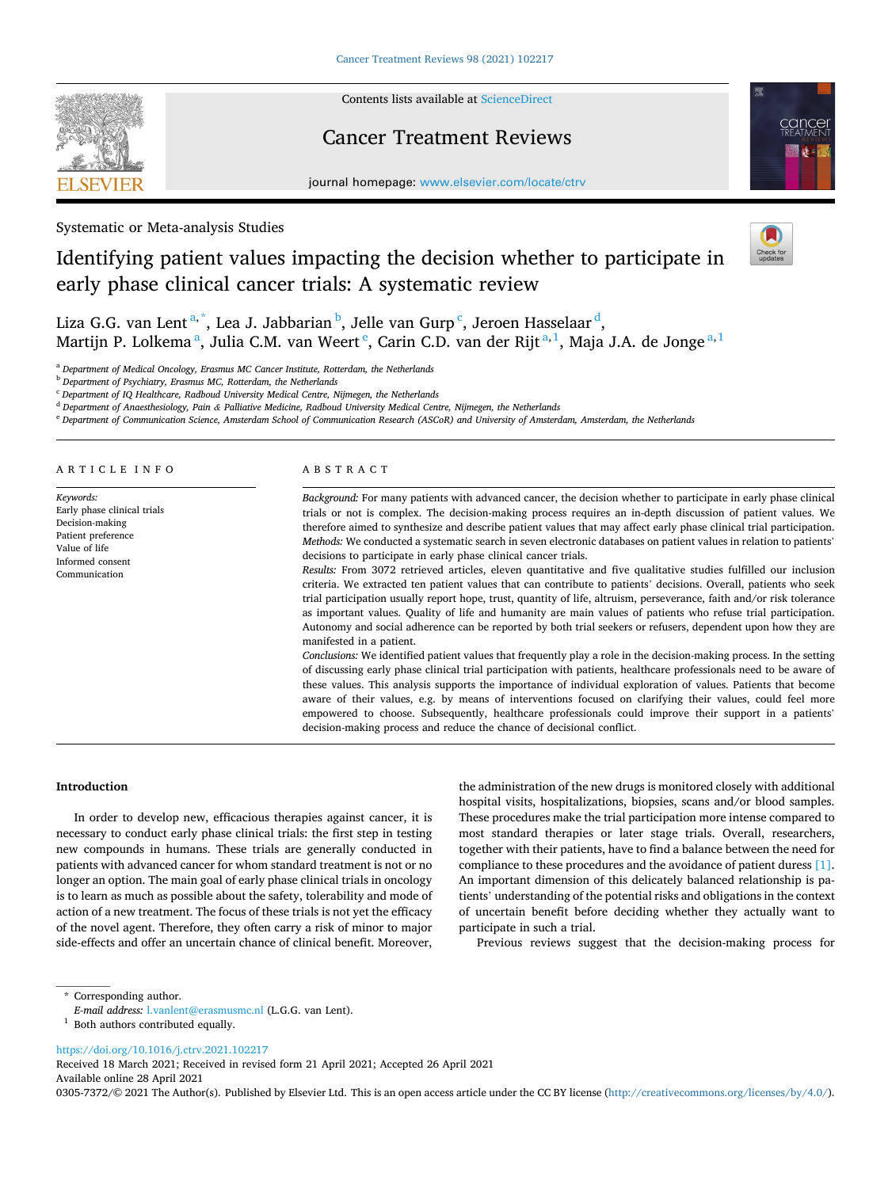

Contents lists available at [ScienceDirect](www.sciencedirect.com/science/journal/03057372)

# Cancer Treatment Reviews



journal homepage: [www.elsevier.com/locate/ctrv](https://www.elsevier.com/locate/ctrv)

Systematic or Meta-analysis Studies

# Identifying patient values impacting the decision whether to participate in early phase clinical cancer trials: A systematic review



Liza G.G. van Lent<sup>a,\*</sup>, Lea J. Jabbarian <sup>b</sup>, Jelle van Gurp <sup>c</sup>, Jeroen Hasselaar <sup>d</sup>, Martijn P. Lolkema <sup>a</sup>, Julia C.M. van Weert <sup>e</sup>, Carin C.D. van der Rijt <sup>a, 1</sup>, Maja J.A. de Jonge <sup>a, 1</sup>

<sup>a</sup> *Department of Medical Oncology, Erasmus MC Cancer Institute, Rotterdam, the Netherlands* 

<sup>b</sup> *Department of Psychiatry, Erasmus MC, Rotterdam, the Netherlands* 

<sup>c</sup> *Department of IQ Healthcare, Radboud University Medical Centre, Nijmegen, the Netherlands* 

<sup>d</sup> *Department of Anaesthesiology, Pain & Palliative Medicine, Radboud University Medical Centre, Nijmegen, the Netherlands* 

<sup>e</sup> *Department of Communication Science, Amsterdam School of Communication Research (ASCoR) and University of Amsterdam, Amsterdam, the Netherlands* 

| ARTICLE INFO                                                                                                                            | ABSTRACT                                                                                                                                                                                                                                                                                                                                                                                                                                                                                                                                                                                                                                                                                                                                                                                                                                                                                                                                                                                                                                                                                                                                                                                                                                                                                                                                                                                                                                                                                                                                                                                                                                                                                                                                                                                                                                   |
|-----------------------------------------------------------------------------------------------------------------------------------------|--------------------------------------------------------------------------------------------------------------------------------------------------------------------------------------------------------------------------------------------------------------------------------------------------------------------------------------------------------------------------------------------------------------------------------------------------------------------------------------------------------------------------------------------------------------------------------------------------------------------------------------------------------------------------------------------------------------------------------------------------------------------------------------------------------------------------------------------------------------------------------------------------------------------------------------------------------------------------------------------------------------------------------------------------------------------------------------------------------------------------------------------------------------------------------------------------------------------------------------------------------------------------------------------------------------------------------------------------------------------------------------------------------------------------------------------------------------------------------------------------------------------------------------------------------------------------------------------------------------------------------------------------------------------------------------------------------------------------------------------------------------------------------------------------------------------------------------------|
| Keywords:<br>Early phase clinical trials<br>Decision-making<br>Patient preference<br>Value of life<br>Informed consent<br>Communication | Background: For many patients with advanced cancer, the decision whether to participate in early phase clinical<br>trials or not is complex. The decision-making process requires an in-depth discussion of patient values. We<br>therefore aimed to synthesize and describe patient values that may affect early phase clinical trial participation.<br>Methods: We conducted a systematic search in seven electronic databases on patient values in relation to patients'<br>decisions to participate in early phase clinical cancer trials.<br>Results: From 3072 retrieved articles, eleven quantitative and five qualitative studies fulfilled our inclusion<br>criteria. We extracted ten patient values that can contribute to patients' decisions. Overall, patients who seek<br>trial participation usually report hope, trust, quantity of life, altruism, perseverance, faith and/or risk tolerance<br>as important values. Quality of life and humanity are main values of patients who refuse trial participation.<br>Autonomy and social adherence can be reported by both trial seekers or refusers, dependent upon how they are<br>manifested in a patient.<br>Conclusions: We identified patient values that frequently play a role in the decision-making process. In the setting<br>of discussing early phase clinical trial participation with patients, healthcare professionals need to be aware of<br>these values. This analysis supports the importance of individual exploration of values. Patients that become<br>aware of their values, e.g. by means of interventions focused on clarifying their values, could feel more<br>empowered to choose. Subsequently, healthcare professionals could improve their support in a patients'<br>decision-making process and reduce the chance of decisional conflict. |

#### **Introduction**

In order to develop new, efficacious therapies against cancer, it is necessary to conduct early phase clinical trials: the first step in testing new compounds in humans. These trials are generally conducted in patients with advanced cancer for whom standard treatment is not or no longer an option. The main goal of early phase clinical trials in oncology is to learn as much as possible about the safety, tolerability and mode of action of a new treatment. The focus of these trials is not yet the efficacy of the novel agent. Therefore, they often carry a risk of minor to major side-effects and offer an uncertain chance of clinical benefit. Moreover,

the administration of the new drugs is monitored closely with additional hospital visits, hospitalizations, biopsies, scans and/or blood samples. These procedures make the trial participation more intense compared to most standard therapies or later stage trials. Overall, researchers, together with their patients, have to find a balance between the need for compliance to these procedures and the avoidance of patient duress [\[1\]](#page-6-0). An important dimension of this delicately balanced relationship is patients' understanding of the potential risks and obligations in the context of uncertain benefit before deciding whether they actually want to participate in such a trial.

Previous reviews suggest that the decision-making process for

\* Corresponding author.

<https://doi.org/10.1016/j.ctrv.2021.102217>

Available online 28 April 2021 Received 18 March 2021; Received in revised form 21 April 2021; Accepted 26 April 2021

0305-7372/© 2021 The Author(s). Published by Elsevier Ltd. This is an open access article under the CC BY license [\(http://creativecommons.org/licenses/by/4.0/\)](http://creativecommons.org/licenses/by/4.0/).

*E-mail address:* [l.vanlent@erasmusmc.nl](mailto:l.vanlent@erasmusmc.nl) (L.G.G. van Lent). 1 Both authors contributed equally.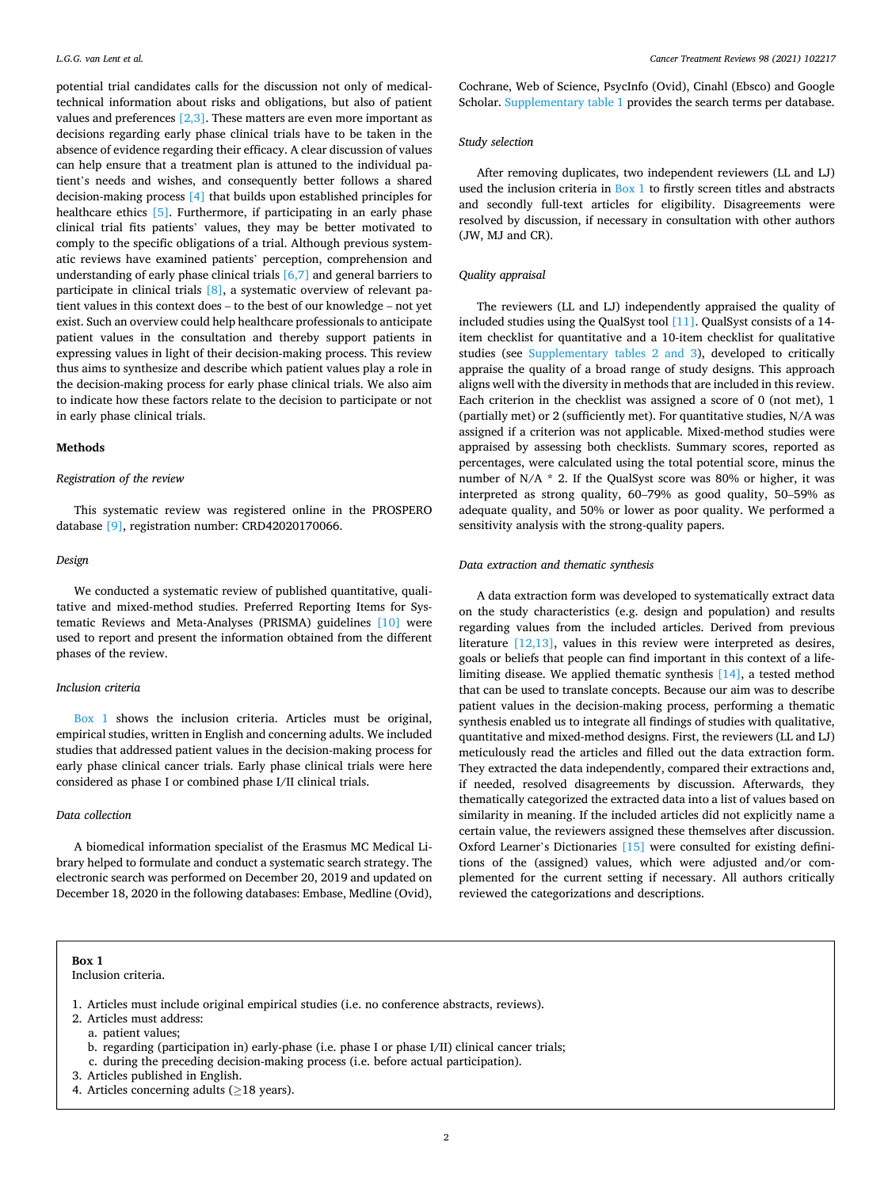potential trial candidates calls for the discussion not only of medicaltechnical information about risks and obligations, but also of patient values and preferences  $[2,3]$ . These matters are even more important as decisions regarding early phase clinical trials have to be taken in the absence of evidence regarding their efficacy. A clear discussion of values can help ensure that a treatment plan is attuned to the individual patient's needs and wishes, and consequently better follows a shared decision-making process [\[4\]](#page-7-0) that builds upon established principles for healthcare ethics [\[5\].](#page-7-0) Furthermore, if participating in an early phase clinical trial fits patients' values, they may be better motivated to comply to the specific obligations of a trial. Although previous systematic reviews have examined patients' perception, comprehension and understanding of early phase clinical trials [\[6,7\]](#page-7-0) and general barriers to participate in clinical trials [\[8\],](#page-7-0) a systematic overview of relevant patient values in this context does – to the best of our knowledge – not yet exist. Such an overview could help healthcare professionals to anticipate patient values in the consultation and thereby support patients in expressing values in light of their decision-making process. This review thus aims to synthesize and describe which patient values play a role in the decision-making process for early phase clinical trials. We also aim to indicate how these factors relate to the decision to participate or not in early phase clinical trials.

#### **Methods**

# *Registration of the review*

This systematic review was registered online in the PROSPERO database [\[9\]](#page-7-0), registration number: CRD42020170066.

#### *Design*

We conducted a systematic review of published quantitative, qualitative and mixed-method studies. Preferred Reporting Items for Systematic Reviews and Meta-Analyses (PRISMA) guidelines [\[10\]](#page-7-0) were used to report and present the information obtained from the different phases of the review.

# *Inclusion criteria*

Box 1 shows the inclusion criteria. Articles must be original, empirical studies, written in English and concerning adults. We included studies that addressed patient values in the decision-making process for early phase clinical cancer trials. Early phase clinical trials were here considered as phase I or combined phase I/II clinical trials.

# *Data collection*

A biomedical information specialist of the Erasmus MC Medical Library helped to formulate and conduct a systematic search strategy. The electronic search was performed on December 20, 2019 and updated on December 18, 2020 in the following databases: Embase, Medline (Ovid),

Inclusion criteria.

Cochrane, Web of Science, PsycInfo (Ovid), Cinahl (Ebsco) and Google Scholar. Supplementary table 1 provides the search terms per database.

# *Study selection*

After removing duplicates, two independent reviewers (LL and LJ) used the inclusion criteria in Box 1 to firstly screen titles and abstracts and secondly full-text articles for eligibility. Disagreements were resolved by discussion, if necessary in consultation with other authors (JW, MJ and CR).

# *Quality appraisal*

The reviewers (LL and LJ) independently appraised the quality of included studies using the QualSyst tool [\[11\]](#page-7-0). QualSyst consists of a 14 item checklist for quantitative and a 10-item checklist for qualitative studies (see Supplementary tables 2 and 3), developed to critically appraise the quality of a broad range of study designs. This approach aligns well with the diversity in methods that are included in this review. Each criterion in the checklist was assigned a score of 0 (not met), 1 (partially met) or 2 (sufficiently met). For quantitative studies, N/A was assigned if a criterion was not applicable. Mixed-method studies were appraised by assessing both checklists. Summary scores, reported as percentages, were calculated using the total potential score, minus the number of N/A \* 2. If the QualSyst score was 80% or higher, it was interpreted as strong quality, 60–79% as good quality, 50–59% as adequate quality, and 50% or lower as poor quality. We performed a sensitivity analysis with the strong-quality papers.

#### *Data extraction and thematic synthesis*

A data extraction form was developed to systematically extract data on the study characteristics (e.g. design and population) and results regarding values from the included articles. Derived from previous literature [\[12,13\]](#page-7-0), values in this review were interpreted as desires, goals or beliefs that people can find important in this context of a lifelimiting disease. We applied thematic synthesis [\[14\],](#page-7-0) a tested method that can be used to translate concepts. Because our aim was to describe patient values in the decision-making process, performing a thematic synthesis enabled us to integrate all findings of studies with qualitative, quantitative and mixed-method designs. First, the reviewers (LL and LJ) meticulously read the articles and filled out the data extraction form. They extracted the data independently, compared their extractions and, if needed, resolved disagreements by discussion. Afterwards, they thematically categorized the extracted data into a list of values based on similarity in meaning. If the included articles did not explicitly name a certain value, the reviewers assigned these themselves after discussion. Oxford Learner's Dictionaries [\[15\]](#page-7-0) were consulted for existing definitions of the (assigned) values, which were adjusted and/or complemented for the current setting if necessary. All authors critically reviewed the categorizations and descriptions.

- b. regarding (participation in) early-phase (i.e. phase I or phase I/II) clinical cancer trials;
- c. during the preceding decision-making process (i.e. before actual participation).
- 3. Articles published in English.
- 4. Articles concerning adults ( $\geq$ 18 years).

<sup>1.</sup> Articles must include original empirical studies (i.e. no conference abstracts, reviews).

<sup>2.</sup> Articles must address:

a. patient values;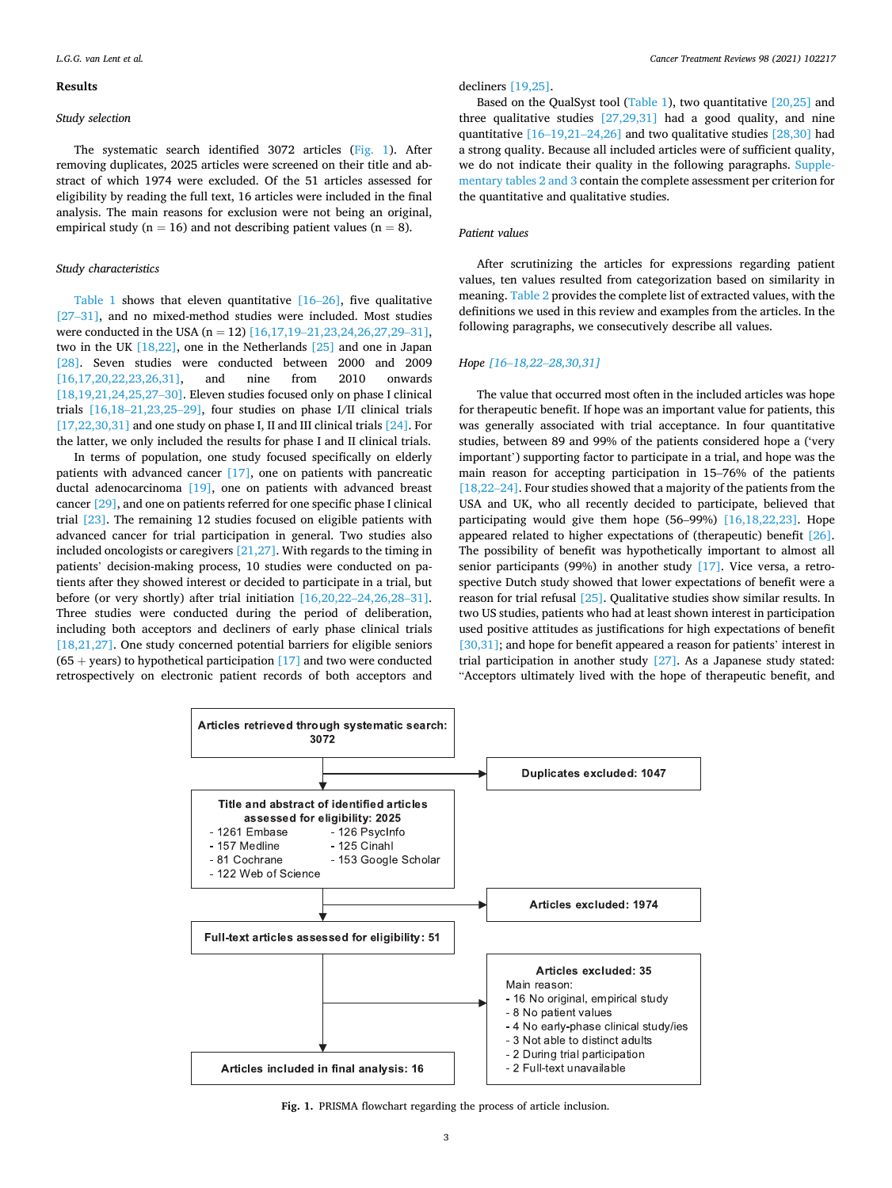#### **Results**

## *Study selection*

The systematic search identified 3072 articles (Fig. 1). After removing duplicates, 2025 articles were screened on their title and abstract of which 1974 were excluded. Of the 51 articles assessed for eligibility by reading the full text, 16 articles were included in the final analysis. The main reasons for exclusion were not being an original, empirical study ( $n = 16$ ) and not describing patient values ( $n = 8$ ).

# *Study characteristics*

[Table 1](#page-3-0) shows that eleven quantitative [\[16](#page-7-0)–26], five qualitative [27–[31\]](#page-7-0), and no mixed-method studies were included. Most studies were conducted in the USA  $(n = 12)$  [16,17,19–[21,23,24,26,27,29](#page-7-0)–31], two in the UK [\[18,22\]](#page-7-0), one in the Netherlands [\[25\]](#page-7-0) and one in Japan [\[28\]](#page-7-0). Seven studies were conducted between 2000 and 2009 [\[16,17,20,22,23,26,31\],](#page-7-0) and nine from 2010 onwards [\[18,19,21,24,25,27](#page-7-0)–30]. Eleven studies focused only on phase I clinical trials [16,18–[21,23,25](#page-7-0)–29], four studies on phase I/II clinical trials  $[17,22,30,31]$  and one study on phase I, II and III clinical trials  $[24]$ . For the latter, we only included the results for phase I and II clinical trials.

In terms of population, one study focused specifically on elderly patients with advanced cancer [\[17\]](#page-7-0), one on patients with pancreatic ductal adenocarcinoma [\[19\]](#page-7-0), one on patients with advanced breast cancer [\[29\]](#page-7-0), and one on patients referred for one specific phase I clinical trial [\[23\]](#page-7-0). The remaining 12 studies focused on eligible patients with advanced cancer for trial participation in general. Two studies also included oncologists or caregivers [\[21,27\].](#page-7-0) With regards to the timing in patients' decision-making process, 10 studies were conducted on patients after they showed interest or decided to participate in a trial, but before (or very shortly) after trial initiation [\[16,20,22](#page-7-0)–24,26,28–31]. Three studies were conducted during the period of deliberation, including both acceptors and decliners of early phase clinical trials [\[18,21,27\].](#page-7-0) One study concerned potential barriers for eligible seniors  $(65 + years)$  to hypothetical participation [\[17\]](#page-7-0) and two were conducted retrospectively on electronic patient records of both acceptors and decliners [\[19,25\].](#page-7-0)

Based on the QualSyst tool ([Table 1](#page-3-0)), two quantitative [\[20,25\]](#page-7-0) and three qualitative studies [\[27,29,31\]](#page-7-0) had a good quality, and nine quantitative [16–19,21–[24,26\]](#page-7-0) and two qualitative studies [\[28,30\]](#page-7-0) had a strong quality. Because all included articles were of sufficient quality, we do not indicate their quality in the following paragraphs. Supplementary tables 2 and 3 contain the complete assessment per criterion for the quantitative and qualitative studies.

# *Patient values*

After scrutinizing the articles for expressions regarding patient values, ten values resulted from categorization based on similarity in meaning. [Table 2](#page-4-0) provides the complete list of extracted values, with the definitions we used in this review and examples from the articles. In the following paragraphs, we consecutively describe all values.

# *Hope [16*–*18,22*–*[28,30,31\]](#page-7-0)*

The value that occurred most often in the included articles was hope for therapeutic benefit. If hope was an important value for patients, this was generally associated with trial acceptance. In four quantitative studies, between 89 and 99% of the patients considered hope a ('very important') supporting factor to participate in a trial, and hope was the main reason for accepting participation in 15–76% of the patients [\[18,22](#page-7-0)–24]. Four studies showed that a majority of the patients from the USA and UK, who all recently decided to participate, believed that participating would give them hope (56–99%) [\[16,18,22,23\].](#page-7-0) Hope appeared related to higher expectations of (therapeutic) benefit [\[26\]](#page-7-0). The possibility of benefit was hypothetically important to almost all senior participants (99%) in another study [\[17\].](#page-7-0) Vice versa, a retrospective Dutch study showed that lower expectations of benefit were a reason for trial refusal [\[25\]](#page-7-0). Qualitative studies show similar results. In two US studies, patients who had at least shown interest in participation used positive attitudes as justifications for high expectations of benefit [\[30,31\];](#page-7-0) and hope for benefit appeared a reason for patients' interest in trial participation in another study [\[27\]](#page-7-0). As a Japanese study stated: "Acceptors ultimately lived with the hope of therapeutic benefit, and



**Fig. 1.** PRISMA flowchart regarding the process of article inclusion.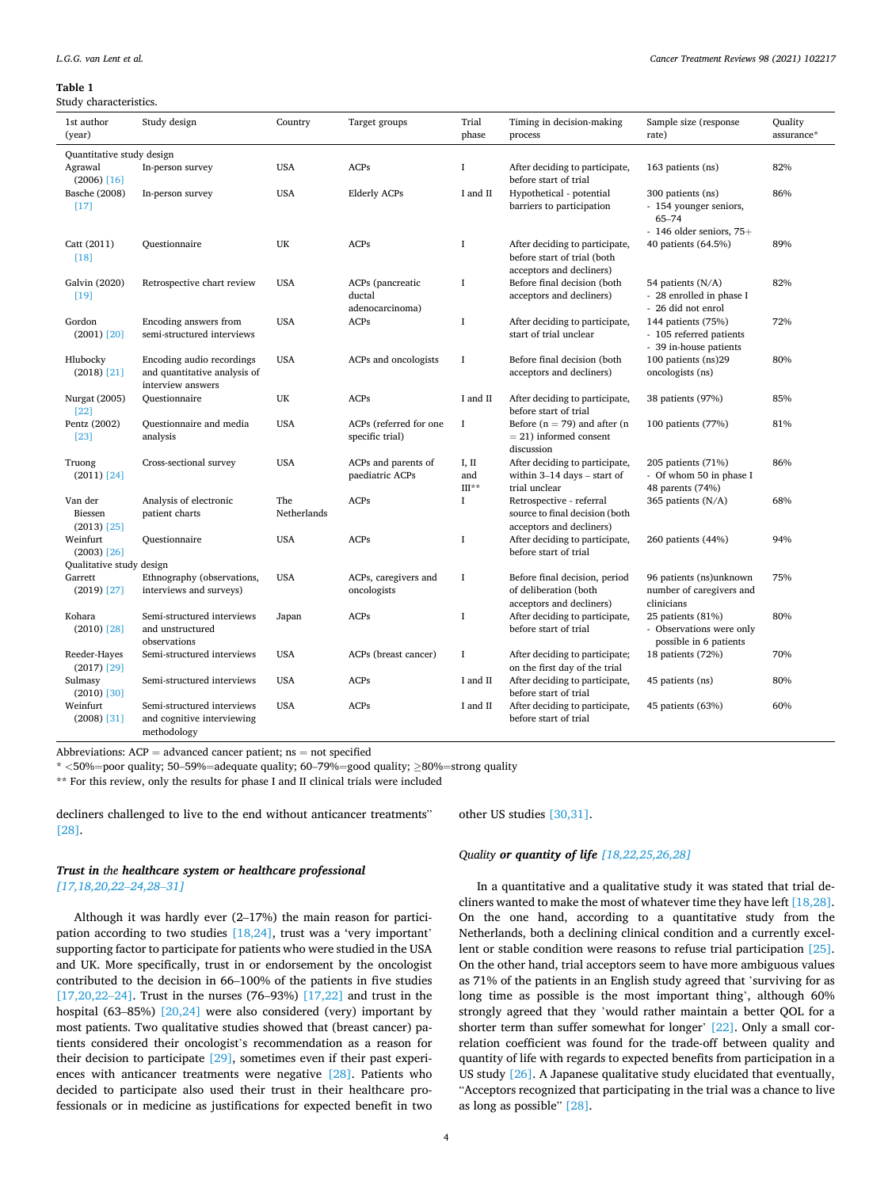#### <span id="page-3-0"></span>**Table 1**

Study characteristics.

| 1st author<br>(year)                  | Study design                                                                   | Country            | Target groups                                 | Trial<br>phase                      | Timing in decision-making<br>process                                                      | Sample size (response<br>rate)                                                      | Quality<br>assurance* |
|---------------------------------------|--------------------------------------------------------------------------------|--------------------|-----------------------------------------------|-------------------------------------|-------------------------------------------------------------------------------------------|-------------------------------------------------------------------------------------|-----------------------|
| Quantitative study design             |                                                                                |                    |                                               |                                     |                                                                                           |                                                                                     |                       |
| Agrawal<br>$(2006)$ [16]              | In-person survey                                                               | <b>USA</b>         | ACPs                                          | $\bf{I}$                            | After deciding to participate,<br>before start of trial                                   | 163 patients (ns)                                                                   | 82%                   |
| Basche (2008)<br>$[17]$               | In-person survey                                                               | <b>USA</b>         | <b>Elderly ACPs</b>                           | I and II                            | Hypothetical - potential<br>barriers to participation                                     | 300 patients (ns)<br>- 154 younger seniors,<br>65-74<br>$-146$ older seniors, $75+$ | 86%                   |
| Catt (2011)<br>$[18]$                 | Questionnaire                                                                  | UK                 | ACPs                                          | <b>I</b>                            | After deciding to participate,<br>before start of trial (both<br>acceptors and decliners) | 40 patients (64.5%)                                                                 | 89%                   |
| Galvin (2020)<br>$[19]$               | Retrospective chart review                                                     | <b>USA</b>         | ACPs (pancreatic<br>ductal<br>adenocarcinoma) | <b>I</b>                            | Before final decision (both<br>acceptors and decliners)                                   | 54 patients (N/A)<br>- 28 enrolled in phase I<br>- 26 did not enrol                 | 82%                   |
| Gordon<br>$(2001)$ $[20]$             | Encoding answers from<br>semi-structured interviews                            | <b>USA</b>         | <b>ACPs</b>                                   | I                                   | After deciding to participate,<br>start of trial unclear                                  | 144 patients (75%)<br>- 105 referred patients<br>- 39 in-house patients             | 72%                   |
| Hlubocky<br>$(2018)$ $[21]$           | Encoding audio recordings<br>and quantitative analysis of<br>interview answers | <b>USA</b>         | ACPs and oncologists                          | <b>I</b>                            | Before final decision (both<br>acceptors and decliners)                                   | 100 patients (ns)29<br>oncologists (ns)                                             | 80%                   |
| Nurgat (2005)<br>$[22]$               | Ouestionnaire                                                                  | UK                 | <b>ACPs</b>                                   | I and II                            | After deciding to participate,<br>before start of trial                                   | 38 patients (97%)                                                                   | 85%                   |
| Pentz (2002)<br>$[23]$                | Questionnaire and media<br>analysis                                            | <b>USA</b>         | ACPs (referred for one<br>specific trial)     | <b>I</b>                            | Before ( $n = 79$ ) and after ( $n = 79$ )<br>$= 21$ ) informed consent<br>discussion     | 100 patients (77%)                                                                  | 81%                   |
| Truong<br>$(2011)$ $[24]$             | Cross-sectional survey                                                         | <b>USA</b>         | ACPs and parents of<br>paediatric ACPs        | I, II<br>and<br>$\mathrm{III^{**}}$ | After deciding to participate,<br>within $3-14$ days - start of<br>trial unclear          | 205 patients (71%)<br>- Of whom 50 in phase I<br>48 parents (74%)                   | 86%                   |
| Van der<br>Biessen<br>$(2013)$ $[25]$ | Analysis of electronic<br>patient charts                                       | The<br>Netherlands | <b>ACPs</b>                                   | $\bf{I}$                            | Retrospective - referral<br>source to final decision (both<br>acceptors and decliners)    | 365 patients (N/A)                                                                  | 68%                   |
| Weinfurt<br>$(2003)$ [26]             | Questionnaire                                                                  | <b>USA</b>         | ACPs                                          | <b>I</b>                            | After deciding to participate,<br>before start of trial                                   | 260 patients (44%)                                                                  | 94%                   |
| Qualitative study design              |                                                                                |                    |                                               |                                     |                                                                                           |                                                                                     |                       |
| Garrett<br>$(2019)$ $[27]$            | Ethnography (observations,<br>interviews and surveys)                          | <b>USA</b>         | ACPs, caregivers and<br>oncologists           | I                                   | Before final decision, period<br>of deliberation (both<br>acceptors and decliners)        | 96 patients (ns)unknown<br>number of caregivers and<br>clinicians                   | 75%                   |
| Kohara<br>$(2010)$ $[28]$             | Semi-structured interviews<br>and unstructured<br>observations                 | Japan              | <b>ACPs</b>                                   | I                                   | After deciding to participate,<br>before start of trial                                   | 25 patients (81%)<br>- Observations were only<br>possible in 6 patients             | 80%                   |
| Reeder-Hayes<br>$(2017)$ $[29]$       | Semi-structured interviews                                                     | <b>USA</b>         | ACPs (breast cancer)                          | $\bf{I}$                            | After deciding to participate;<br>on the first day of the trial                           | 18 patients (72%)                                                                   | 70%                   |
| Sulmasy<br>$(2010)$ $[30]$            | Semi-structured interviews                                                     | <b>USA</b>         | ACPs                                          | I and II                            | After deciding to participate,<br>before start of trial                                   | 45 patients (ns)                                                                    | 80%                   |
| Weinfurt<br>$(2008)$ [31]             | Semi-structured interviews<br>and cognitive interviewing<br>methodology        | <b>USA</b>         | <b>ACPs</b>                                   | I and II                            | After deciding to participate,<br>before start of trial                                   | 45 patients (63%)                                                                   | 60%                   |

Abbreviations:  $ACP =$  advanced cancer patient;  $ns =$  not specified

\* *<*50%=poor quality; 50–59%=adequate quality; 60–79%=good quality; ≥80%=strong quality

\*\* For this review, only the results for phase I and II clinical trials were included

decliners challenged to live to the end without anticancer treatments" [\[28\]](#page-7-0).

other US studies [\[30,31\].](#page-7-0)

# *Trust in the healthcare system or healthcare professional [\[17,18,20,22](#page-7-0)*–*24,28*–*31]*

Although it was hardly ever (2–17%) the main reason for participation according to two studies  $[18,24]$ , trust was a 'very important' supporting factor to participate for patients who were studied in the USA and UK. More specifically, trust in or endorsement by the oncologist contributed to the decision in 66–100% of the patients in five studies  $[17,20,22-24]$  $[17,20,22-24]$ . Trust in the nurses (76–93%)  $[17,22]$  and trust in the hospital (63–85%) [\[20,24\]](#page-7-0) were also considered (very) important by most patients. Two qualitative studies showed that (breast cancer) patients considered their oncologist's recommendation as a reason for their decision to participate [\[29\]](#page-7-0), sometimes even if their past experiences with anticancer treatments were negative [\[28\].](#page-7-0) Patients who decided to participate also used their trust in their healthcare professionals or in medicine as justifications for expected benefit in two *Quality or quantity of life [\[18,22,25,26,28\]](#page-7-0)* 

In a quantitative and a qualitative study it was stated that trial decliners wanted to make the most of whatever time they have left [\[18,28\]](#page-7-0). On the one hand, according to a quantitative study from the Netherlands, both a declining clinical condition and a currently excellent or stable condition were reasons to refuse trial participation [\[25\]](#page-7-0). On the other hand, trial acceptors seem to have more ambiguous values as 71% of the patients in an English study agreed that 'surviving for as long time as possible is the most important thing', although 60% strongly agreed that they 'would rather maintain a better QOL for a shorter term than suffer somewhat for longer' [\[22\].](#page-7-0) Only a small correlation coefficient was found for the trade-off between quality and quantity of life with regards to expected benefits from participation in a US study [\[26\].](#page-7-0) A Japanese qualitative study elucidated that eventually, "Acceptors recognized that participating in the trial was a chance to live as long as possible" [\[28\].](#page-7-0)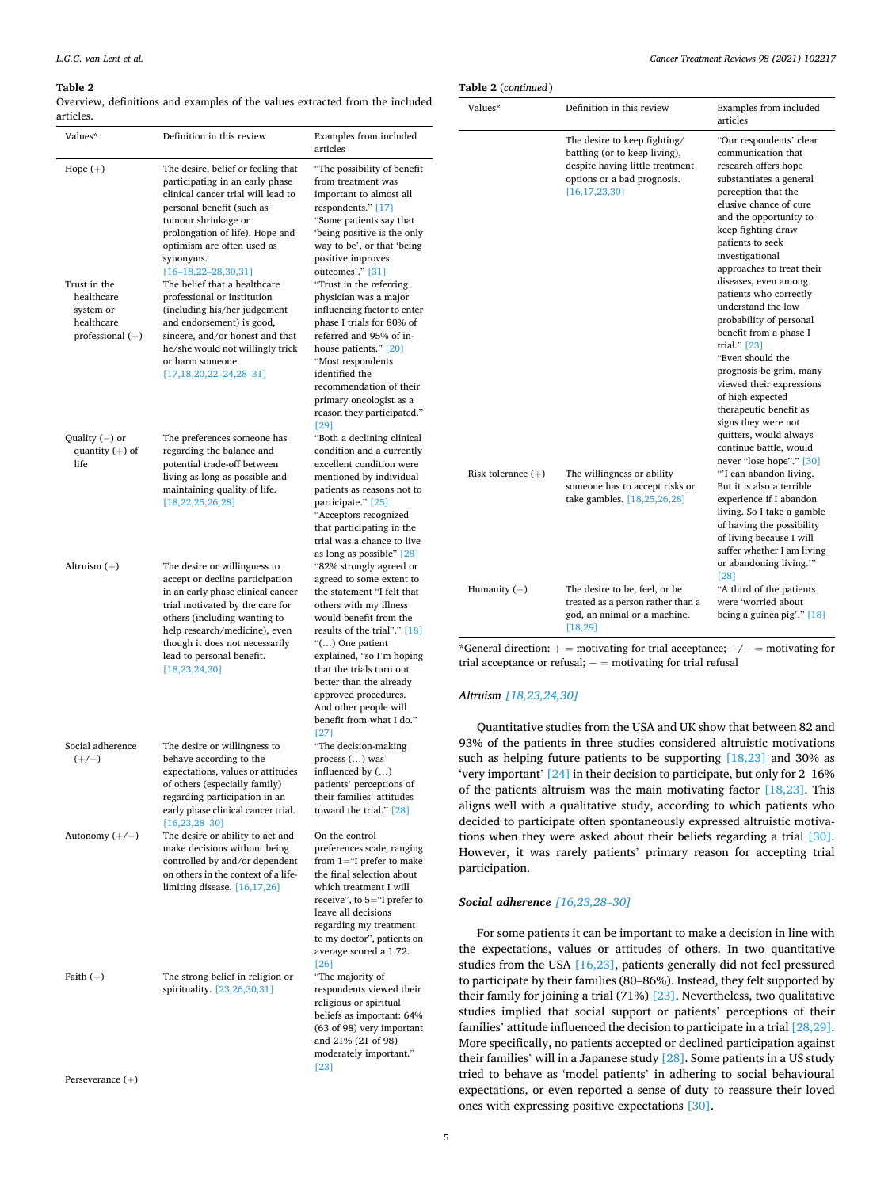#### <span id="page-4-0"></span>**Table 2**

Overview, definitions and examples of the values extracted from the included articles.

| Values*                                                                                   | Definition in this review                                                                                                                                                                                                                                                                                                                                                                                                                                                                                                        | Examples from included<br>articles                                                                                                                                                                                                                                                                                                                                                                                                                                                                                                         |
|-------------------------------------------------------------------------------------------|----------------------------------------------------------------------------------------------------------------------------------------------------------------------------------------------------------------------------------------------------------------------------------------------------------------------------------------------------------------------------------------------------------------------------------------------------------------------------------------------------------------------------------|--------------------------------------------------------------------------------------------------------------------------------------------------------------------------------------------------------------------------------------------------------------------------------------------------------------------------------------------------------------------------------------------------------------------------------------------------------------------------------------------------------------------------------------------|
| Hope $(+)$<br>Trust in the<br>healthcare<br>system or<br>healthcare<br>professional $(+)$ | The desire, belief or feeling that<br>participating in an early phase<br>clinical cancer trial will lead to<br>personal benefit (such as<br>tumour shrinkage or<br>prolongation of life). Hope and<br>optimism are often used as<br>synonyms.<br>$[16-18, 22-28, 30, 31]$<br>The belief that a healthcare<br>professional or institution<br>(including his/her judgement<br>and endorsement) is good,<br>sincere, and/or honest and that<br>he/she would not willingly trick<br>or harm someone.<br>$[17, 18, 20, 22-24, 28-31]$ | "The possibility of benefit<br>from treatment was<br>important to almost all<br>respondents." [17]<br>"Some patients say that<br>'being positive is the only<br>way to be', or that 'being<br>positive improves<br>outcomes'." [31]<br>"Trust in the referring<br>physician was a major<br>influencing factor to enter<br>phase I trials for 80% of<br>referred and 95% of in-<br>house patients." [20]<br>"Most respondents<br>identified the<br>recommendation of their<br>primary oncologist as a<br>reason they participated."<br>[29] |
| Quality $(-)$ or<br>quantity $(+)$ of<br>life                                             | The preferences someone has<br>regarding the balance and<br>potential trade-off between<br>living as long as possible and<br>maintaining quality of life.<br>[18, 22, 25, 26, 28]                                                                                                                                                                                                                                                                                                                                                | "Both a declining clinical<br>condition and a currently<br>excellent condition were<br>mentioned by individual<br>patients as reasons not to<br>participate." [25]<br>"Acceptors recognized<br>that participating in the<br>trial was a chance to live<br>as long as possible" [28]                                                                                                                                                                                                                                                        |
| Altruism $(+)$                                                                            | The desire or willingness to<br>accept or decline participation<br>in an early phase clinical cancer<br>trial motivated by the care for<br>others (including wanting to<br>help research/medicine), even<br>though it does not necessarily<br>lead to personal benefit.<br>[18, 23, 24, 30]                                                                                                                                                                                                                                      | "82% strongly agreed or<br>agreed to some extent to<br>the statement "I felt that<br>others with my illness<br>would benefit from the<br>results of the trial"." [18]<br>"() One patient<br>explained, "so I'm hoping<br>that the trials turn out<br>better than the already<br>approved procedures.<br>And other people will<br>benefit from what I do."<br>[27]                                                                                                                                                                          |
| Social adherence<br>$(+/-)$                                                               | The desire or willingness to<br>behave according to the<br>expectations, values or attitudes<br>of others (especially family)<br>regarding participation in an<br>early phase clinical cancer trial.<br>$[16, 23, 28 - 30]$                                                                                                                                                                                                                                                                                                      | "The decision-making<br>process () was<br>influenced by ()<br>patients' perceptions of<br>their families' attitudes<br>toward the trial." [28]                                                                                                                                                                                                                                                                                                                                                                                             |
| Autonomy $(+/-)$                                                                          | The desire or ability to act and<br>make decisions without being<br>controlled by and/or dependent<br>on others in the context of a life-<br>limiting disease. $[16, 17, 26]$                                                                                                                                                                                                                                                                                                                                                    | On the control<br>preferences scale, ranging<br>from $1 =$ "I prefer to make<br>the final selection about<br>which treatment I will<br>receive", to 5="I prefer to<br>leave all decisions<br>regarding my treatment<br>to my doctor", patients on<br>average scored a 1.72.<br>[26]                                                                                                                                                                                                                                                        |
| Faith $(+)$                                                                               | The strong belief in religion or<br>spirituality. [23,26,30,31]                                                                                                                                                                                                                                                                                                                                                                                                                                                                  | "The majority of<br>respondents viewed their<br>religious or spiritual<br>beliefs as important: 64%<br>(63 of 98) very important<br>and 21% (21 of 98)<br>moderately important."<br>$[23]$                                                                                                                                                                                                                                                                                                                                                 |

Perseverance (+)

|  | Table 2 (continued) |
|--|---------------------|
|--|---------------------|

| Values*              | Definition in this review                                                                                                                           | Examples from included<br>articles                                                                                                                                                                                                                                                                                                                                                                                                                                                                                                                                                                                                                   |
|----------------------|-----------------------------------------------------------------------------------------------------------------------------------------------------|------------------------------------------------------------------------------------------------------------------------------------------------------------------------------------------------------------------------------------------------------------------------------------------------------------------------------------------------------------------------------------------------------------------------------------------------------------------------------------------------------------------------------------------------------------------------------------------------------------------------------------------------------|
|                      | The desire to keep fighting/<br>battling (or to keep living),<br>despite having little treatment<br>options or a bad prognosis.<br>[16, 17, 23, 30] | "Our respondents' clear<br>communication that<br>research offers hope<br>substantiates a general<br>perception that the<br>elusive chance of cure<br>and the opportunity to<br>keep fighting draw<br>patients to seek<br>investigational<br>approaches to treat their<br>diseases, even among<br>patients who correctly<br>understand the low<br>probability of personal<br>benefit from a phase I<br>trial." $[23]$<br>"Even should the<br>prognosis be grim, many<br>viewed their expressions<br>of high expected<br>therapeutic benefit as<br>signs they were not<br>quitters, would always<br>continue battle, would<br>never "lose hope"." [30] |
| Risk tolerance $(+)$ | The willingness or ability<br>someone has to accept risks or<br>take gambles. [18,25,26,28]                                                         | "I can abandon living.<br>But it is also a terrible<br>experience if I abandon<br>living. So I take a gamble<br>of having the possibility<br>of living because I will<br>suffer whether I am living<br>or abandoning living.""<br>[28]                                                                                                                                                                                                                                                                                                                                                                                                               |
| Humanity $(-)$       | The desire to be, feel, or be<br>treated as a person rather than a<br>god, an animal or a machine.<br>[18, 29]                                      | "A third of the patients<br>were 'worried about<br>being a guinea pig'." $[18]$                                                                                                                                                                                                                                                                                                                                                                                                                                                                                                                                                                      |

\*General direction:  $+$  = motivating for trial acceptance;  $+$ / $-$  = motivating for trial acceptance or refusal;  $-$  = motivating for trial refusal

# *Altruism [\[18,23,24,30\]](#page-7-0)*

Quantitative studies from the USA and UK show that between 82 and 93% of the patients in three studies considered altruistic motivations such as helping future patients to be supporting [\[18,23\]](#page-7-0) and 30% as 'very important' [\[24\]](#page-7-0) in their decision to participate, but only for 2–16% of the patients altruism was the main motivating factor  $[18,23]$ . This aligns well with a qualitative study, according to which patients who decided to participate often spontaneously expressed altruistic motivations when they were asked about their beliefs regarding a trial [\[30\]](#page-7-0). However, it was rarely patients' primary reason for accepting trial participation.

#### *Social adherence [\[16,23,28](#page-7-0)*–*30]*

For some patients it can be important to make a decision in line with the expectations, values or attitudes of others. In two quantitative studies from the USA [\[16,23\],](#page-7-0) patients generally did not feel pressured to participate by their families (80–86%). Instead, they felt supported by their family for joining a trial (71%) [\[23\]](#page-7-0). Nevertheless, two qualitative studies implied that social support or patients' perceptions of their families' attitude influenced the decision to participate in a trial [\[28,29\]](#page-7-0). More specifically, no patients accepted or declined participation against their families' will in a Japanese study [\[28\].](#page-7-0) Some patients in a US study tried to behave as 'model patients' in adhering to social behavioural expectations, or even reported a sense of duty to reassure their loved ones with expressing positive expectations [\[30\].](#page-7-0)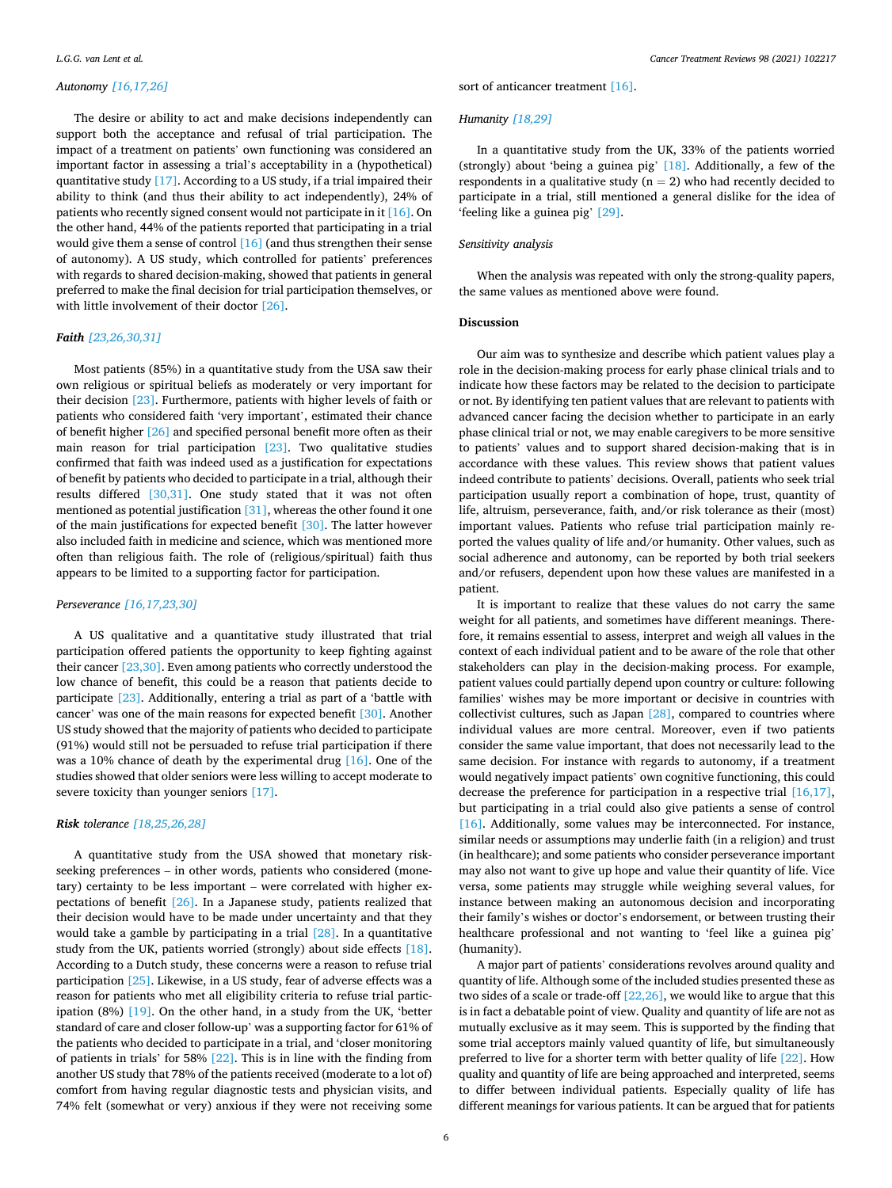#### *Autonomy [\[16,17,26\]](#page-7-0)*

The desire or ability to act and make decisions independently can support both the acceptance and refusal of trial participation. The impact of a treatment on patients' own functioning was considered an important factor in assessing a trial's acceptability in a (hypothetical) quantitative study [\[17\].](#page-7-0) According to a US study, if a trial impaired their ability to think (and thus their ability to act independently), 24% of patients who recently signed consent would not participate in it [\[16\]](#page-7-0). On the other hand, 44% of the patients reported that participating in a trial would give them a sense of control [\[16\]](#page-7-0) (and thus strengthen their sense of autonomy). A US study, which controlled for patients' preferences with regards to shared decision-making, showed that patients in general preferred to make the final decision for trial participation themselves, or with little involvement of their doctor [\[26\]](#page-7-0).

# *Faith [\[23,26,30,31\]](#page-7-0)*

Most patients (85%) in a quantitative study from the USA saw their own religious or spiritual beliefs as moderately or very important for their decision [\[23\].](#page-7-0) Furthermore, patients with higher levels of faith or patients who considered faith 'very important', estimated their chance of benefit higher [\[26\]](#page-7-0) and specified personal benefit more often as their main reason for trial participation [\[23\]](#page-7-0). Two qualitative studies confirmed that faith was indeed used as a justification for expectations of benefit by patients who decided to participate in a trial, although their results differed [\[30,31\].](#page-7-0) One study stated that it was not often mentioned as potential justification [\[31\],](#page-7-0) whereas the other found it one of the main justifications for expected benefit [\[30\].](#page-7-0) The latter however also included faith in medicine and science, which was mentioned more often than religious faith. The role of (religious/spiritual) faith thus appears to be limited to a supporting factor for participation.

#### *Perseverance [\[16,17,23,30\]](#page-7-0)*

A US qualitative and a quantitative study illustrated that trial participation offered patients the opportunity to keep fighting against their cancer [\[23,30\].](#page-7-0) Even among patients who correctly understood the low chance of benefit, this could be a reason that patients decide to participate [\[23\]](#page-7-0). Additionally, entering a trial as part of a 'battle with cancer' was one of the main reasons for expected benefit [\[30\].](#page-7-0) Another US study showed that the majority of patients who decided to participate (91%) would still not be persuaded to refuse trial participation if there was a 10% chance of death by the experimental drug [\[16\]](#page-7-0). One of the studies showed that older seniors were less willing to accept moderate to severe toxicity than younger seniors [\[17\]](#page-7-0).

# *Risk tolerance [\[18,25,26,28\]](#page-7-0)*

A quantitative study from the USA showed that monetary riskseeking preferences – in other words, patients who considered (monetary) certainty to be less important – were correlated with higher expectations of benefit [\[26\]](#page-7-0). In a Japanese study, patients realized that their decision would have to be made under uncertainty and that they would take a gamble by participating in a trial [\[28\]](#page-7-0). In a quantitative study from the UK, patients worried (strongly) about side effects [\[18\]](#page-7-0). According to a Dutch study, these concerns were a reason to refuse trial participation [\[25\].](#page-7-0) Likewise, in a US study, fear of adverse effects was a reason for patients who met all eligibility criteria to refuse trial partic-ipation (8%) [\[19\]](#page-7-0). On the other hand, in a study from the UK, 'better standard of care and closer follow-up' was a supporting factor for 61% of the patients who decided to participate in a trial, and 'closer monitoring of patients in trials' for 58% [\[22\].](#page-7-0) This is in line with the finding from another US study that 78% of the patients received (moderate to a lot of) comfort from having regular diagnostic tests and physician visits, and 74% felt (somewhat or very) anxious if they were not receiving some sort of anticancer treatment [\[16\]](#page-7-0).

*Humanity [\[18,29\]](#page-7-0)* 

In a quantitative study from the UK, 33% of the patients worried (strongly) about 'being a guinea pig' [\[18\].](#page-7-0) Additionally, a few of the respondents in a qualitative study ( $n = 2$ ) who had recently decided to participate in a trial, still mentioned a general dislike for the idea of 'feeling like a guinea pig' [\[29\]](#page-7-0).

# *Sensitivity analysis*

When the analysis was repeated with only the strong-quality papers, the same values as mentioned above were found.

# **Discussion**

Our aim was to synthesize and describe which patient values play a role in the decision-making process for early phase clinical trials and to indicate how these factors may be related to the decision to participate or not. By identifying ten patient values that are relevant to patients with advanced cancer facing the decision whether to participate in an early phase clinical trial or not, we may enable caregivers to be more sensitive to patients' values and to support shared decision-making that is in accordance with these values. This review shows that patient values indeed contribute to patients' decisions. Overall, patients who seek trial participation usually report a combination of hope, trust, quantity of life, altruism, perseverance, faith, and/or risk tolerance as their (most) important values. Patients who refuse trial participation mainly reported the values quality of life and/or humanity. Other values, such as social adherence and autonomy, can be reported by both trial seekers and/or refusers, dependent upon how these values are manifested in a patient.

It is important to realize that these values do not carry the same weight for all patients, and sometimes have different meanings. Therefore, it remains essential to assess, interpret and weigh all values in the context of each individual patient and to be aware of the role that other stakeholders can play in the decision-making process. For example, patient values could partially depend upon country or culture: following families' wishes may be more important or decisive in countries with collectivist cultures, such as Japan [\[28\]](#page-7-0), compared to countries where individual values are more central. Moreover, even if two patients consider the same value important, that does not necessarily lead to the same decision. For instance with regards to autonomy, if a treatment would negatively impact patients' own cognitive functioning, this could decrease the preference for participation in a respective trial [\[16,17\]](#page-7-0), but participating in a trial could also give patients a sense of control [\[16\]](#page-7-0). Additionally, some values may be interconnected. For instance, similar needs or assumptions may underlie faith (in a religion) and trust (in healthcare); and some patients who consider perseverance important may also not want to give up hope and value their quantity of life. Vice versa, some patients may struggle while weighing several values, for instance between making an autonomous decision and incorporating their family's wishes or doctor's endorsement, or between trusting their healthcare professional and not wanting to 'feel like a guinea pig' (humanity).

A major part of patients' considerations revolves around quality and quantity of life. Although some of the included studies presented these as two sides of a scale or trade-off [\[22,26\]](#page-7-0), we would like to argue that this is in fact a debatable point of view. Quality and quantity of life are not as mutually exclusive as it may seem. This is supported by the finding that some trial acceptors mainly valued quantity of life, but simultaneously preferred to live for a shorter term with better quality of life [\[22\].](#page-7-0) How quality and quantity of life are being approached and interpreted, seems to differ between individual patients. Especially quality of life has different meanings for various patients. It can be argued that for patients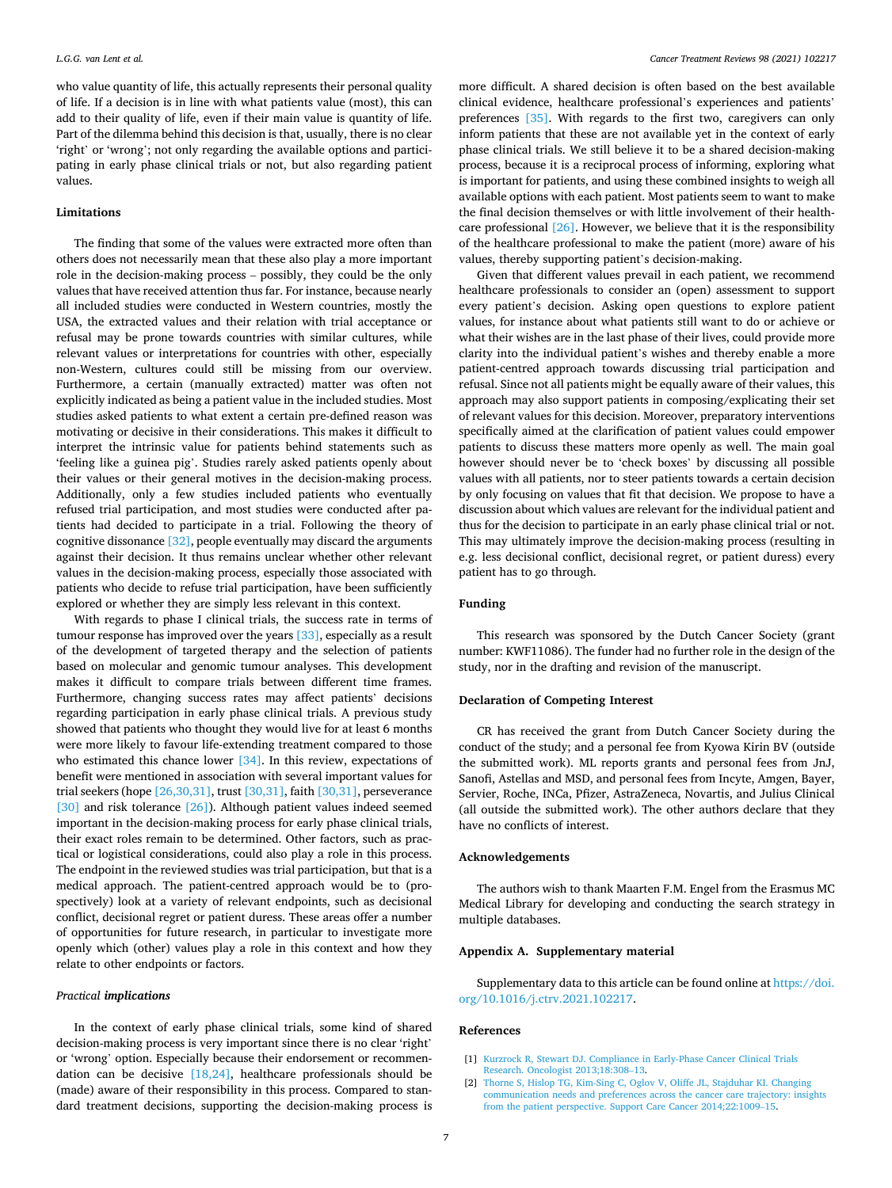<span id="page-6-0"></span>who value quantity of life, this actually represents their personal quality of life. If a decision is in line with what patients value (most), this can add to their quality of life, even if their main value is quantity of life. Part of the dilemma behind this decision is that, usually, there is no clear 'right' or 'wrong'; not only regarding the available options and participating in early phase clinical trials or not, but also regarding patient values.

#### **Limitations**

The finding that some of the values were extracted more often than others does not necessarily mean that these also play a more important role in the decision-making process – possibly, they could be the only values that have received attention thus far. For instance, because nearly all included studies were conducted in Western countries, mostly the USA, the extracted values and their relation with trial acceptance or refusal may be prone towards countries with similar cultures, while relevant values or interpretations for countries with other, especially non-Western, cultures could still be missing from our overview. Furthermore, a certain (manually extracted) matter was often not explicitly indicated as being a patient value in the included studies. Most studies asked patients to what extent a certain pre-defined reason was motivating or decisive in their considerations. This makes it difficult to interpret the intrinsic value for patients behind statements such as 'feeling like a guinea pig'. Studies rarely asked patients openly about their values or their general motives in the decision-making process. Additionally, only a few studies included patients who eventually refused trial participation, and most studies were conducted after patients had decided to participate in a trial. Following the theory of cognitive dissonance [\[32\]](#page-7-0), people eventually may discard the arguments against their decision. It thus remains unclear whether other relevant values in the decision-making process, especially those associated with patients who decide to refuse trial participation, have been sufficiently explored or whether they are simply less relevant in this context.

With regards to phase I clinical trials, the success rate in terms of tumour response has improved over the years [\[33\]](#page-7-0), especially as a result of the development of targeted therapy and the selection of patients based on molecular and genomic tumour analyses. This development makes it difficult to compare trials between different time frames. Furthermore, changing success rates may affect patients' decisions regarding participation in early phase clinical trials. A previous study showed that patients who thought they would live for at least 6 months were more likely to favour life-extending treatment compared to those who estimated this chance lower  $[34]$ . In this review, expectations of benefit were mentioned in association with several important values for trial seekers (hope  $[26,30,31]$ , trust  $[30,31]$ , faith  $[30,31]$ , perseverance [\[30\]](#page-7-0) and risk tolerance [\[26\]](#page-7-0)). Although patient values indeed seemed important in the decision-making process for early phase clinical trials, their exact roles remain to be determined. Other factors, such as practical or logistical considerations, could also play a role in this process. The endpoint in the reviewed studies was trial participation, but that is a medical approach. The patient-centred approach would be to (prospectively) look at a variety of relevant endpoints, such as decisional conflict, decisional regret or patient duress. These areas offer a number of opportunities for future research, in particular to investigate more openly which (other) values play a role in this context and how they relate to other endpoints or factors.

#### *Practical implications*

In the context of early phase clinical trials, some kind of shared decision-making process is very important since there is no clear 'right' or 'wrong' option. Especially because their endorsement or recommendation can be decisive [\[18,24\],](#page-7-0) healthcare professionals should be (made) aware of their responsibility in this process. Compared to standard treatment decisions, supporting the decision-making process is more difficult. A shared decision is often based on the best available clinical evidence, healthcare professional's experiences and patients' preferences [\[35\]](#page-7-0). With regards to the first two, caregivers can only inform patients that these are not available yet in the context of early phase clinical trials. We still believe it to be a shared decision-making process, because it is a reciprocal process of informing, exploring what is important for patients, and using these combined insights to weigh all available options with each patient. Most patients seem to want to make the final decision themselves or with little involvement of their healthcare professional [\[26\]](#page-7-0). However, we believe that it is the responsibility of the healthcare professional to make the patient (more) aware of his values, thereby supporting patient's decision-making.

Given that different values prevail in each patient, we recommend healthcare professionals to consider an (open) assessment to support every patient's decision. Asking open questions to explore patient values, for instance about what patients still want to do or achieve or what their wishes are in the last phase of their lives, could provide more clarity into the individual patient's wishes and thereby enable a more patient-centred approach towards discussing trial participation and refusal. Since not all patients might be equally aware of their values, this approach may also support patients in composing/explicating their set of relevant values for this decision. Moreover, preparatory interventions specifically aimed at the clarification of patient values could empower patients to discuss these matters more openly as well. The main goal however should never be to 'check boxes' by discussing all possible values with all patients, nor to steer patients towards a certain decision by only focusing on values that fit that decision. We propose to have a discussion about which values are relevant for the individual patient and thus for the decision to participate in an early phase clinical trial or not. This may ultimately improve the decision-making process (resulting in e.g. less decisional conflict, decisional regret, or patient duress) every patient has to go through.

#### **Funding**

This research was sponsored by the Dutch Cancer Society (grant number: KWF11086). The funder had no further role in the design of the study, nor in the drafting and revision of the manuscript.

# **Declaration of Competing Interest**

CR has received the grant from Dutch Cancer Society during the conduct of the study; and a personal fee from Kyowa Kirin BV (outside the submitted work). ML reports grants and personal fees from JnJ, Sanofi, Astellas and MSD, and personal fees from Incyte, Amgen, Bayer, Servier, Roche, INCa, Pfizer, AstraZeneca, Novartis, and Julius Clinical (all outside the submitted work). The other authors declare that they have no conflicts of interest.

#### **Acknowledgements**

The authors wish to thank Maarten F.M. Engel from the Erasmus MC Medical Library for developing and conducting the search strategy in multiple databases.

#### **Appendix A. Supplementary material**

Supplementary data to this article can be found online at [https://doi.](https://doi.org/10.1016/j.ctrv.2021.102217)  [org/10.1016/j.ctrv.2021.102217.](https://doi.org/10.1016/j.ctrv.2021.102217)

#### **References**

- [1] [Kurzrock R, Stewart DJ. Compliance in Early-Phase Cancer Clinical Trials](http://refhub.elsevier.com/S0305-7372(21)00065-7/h0005)  [Research. Oncologist 2013;18:308](http://refhub.elsevier.com/S0305-7372(21)00065-7/h0005)–13.
- [2] [Thorne S, Hislop TG, Kim-Sing C, Oglov V, Oliffe JL, Stajduhar KI. Changing](http://refhub.elsevier.com/S0305-7372(21)00065-7/h0010) [communication needs and preferences across the cancer care trajectory: insights](http://refhub.elsevier.com/S0305-7372(21)00065-7/h0010)  [from the patient perspective. Support Care Cancer 2014;22:1009](http://refhub.elsevier.com/S0305-7372(21)00065-7/h0010)–15.